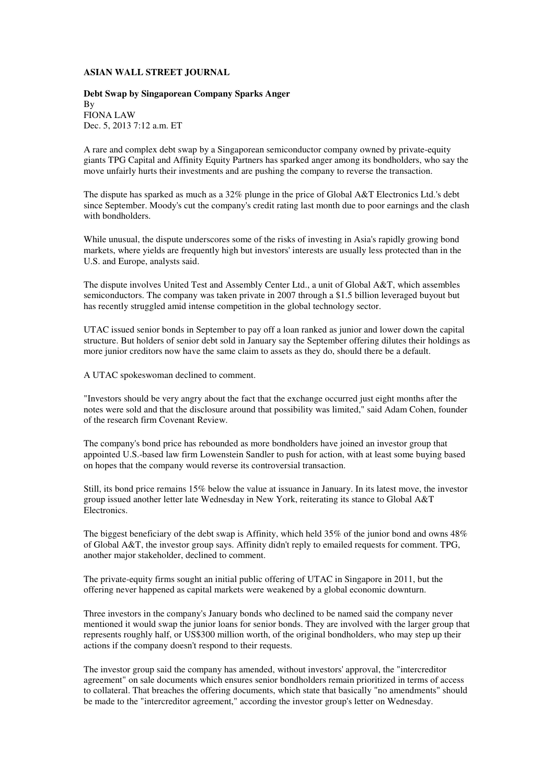## **ASIAN WALL STREET JOURNAL**

## **Debt Swap by Singaporean Company Sparks Anger**  By FIONA LAW Dec. 5, 2013 7:12 a.m. ET

A rare and complex debt swap by a Singaporean semiconductor company owned by private-equity giants TPG Capital and Affinity Equity Partners has sparked anger among its bondholders, who say the move unfairly hurts their investments and are pushing the company to reverse the transaction.

The dispute has sparked as much as a 32% plunge in the price of Global A&T Electronics Ltd.'s debt since September. Moody's cut the company's credit rating last month due to poor earnings and the clash with bondholders.

While unusual, the dispute underscores some of the risks of investing in Asia's rapidly growing bond markets, where yields are frequently high but investors' interests are usually less protected than in the U.S. and Europe, analysts said.

The dispute involves United Test and Assembly Center Ltd., a unit of Global A&T, which assembles semiconductors. The company was taken private in 2007 through a \$1.5 billion leveraged buyout but has recently struggled amid intense competition in the global technology sector.

UTAC issued senior bonds in September to pay off a loan ranked as junior and lower down the capital structure. But holders of senior debt sold in January say the September offering dilutes their holdings as more junior creditors now have the same claim to assets as they do, should there be a default.

A UTAC spokeswoman declined to comment.

"Investors should be very angry about the fact that the exchange occurred just eight months after the notes were sold and that the disclosure around that possibility was limited," said Adam Cohen, founder of the research firm Covenant Review.

The company's bond price has rebounded as more bondholders have joined an investor group that appointed U.S.-based law firm Lowenstein Sandler to push for action, with at least some buying based on hopes that the company would reverse its controversial transaction.

Still, its bond price remains 15% below the value at issuance in January. In its latest move, the investor group issued another letter late Wednesday in New York, reiterating its stance to Global A&T Electronics.

The biggest beneficiary of the debt swap is Affinity, which held 35% of the junior bond and owns 48% of Global A&T, the investor group says. Affinity didn't reply to emailed requests for comment. TPG, another major stakeholder, declined to comment.

The private-equity firms sought an initial public offering of UTAC in Singapore in 2011, but the offering never happened as capital markets were weakened by a global economic downturn.

Three investors in the company's January bonds who declined to be named said the company never mentioned it would swap the junior loans for senior bonds. They are involved with the larger group that represents roughly half, or US\$300 million worth, of the original bondholders, who may step up their actions if the company doesn't respond to their requests.

The investor group said the company has amended, without investors' approval, the "intercreditor agreement" on sale documents which ensures senior bondholders remain prioritized in terms of access to collateral. That breaches the offering documents, which state that basically "no amendments" should be made to the "intercreditor agreement," according the investor group's letter on Wednesday.